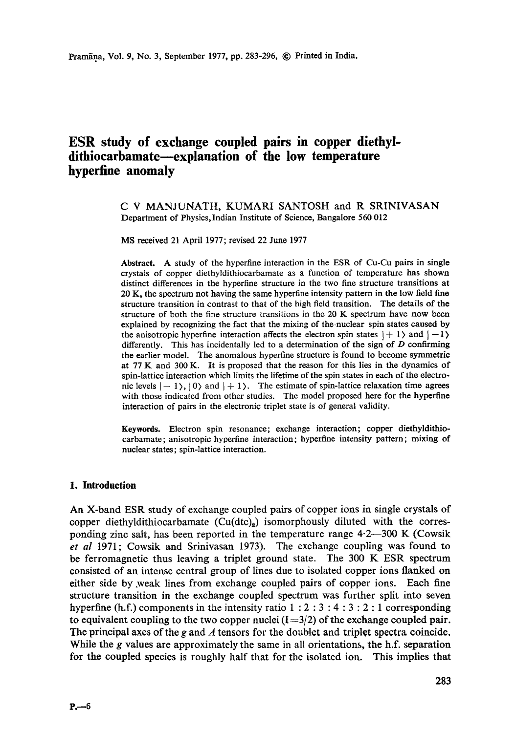# **ESR study of exchange coupled pairs in copper diethyl**dithiocarbamate—explanation of the low temperature **hyperfine anomaly**

#### C V MANJUNATH, KUMARI SANTOSH and R SRINIVASAN Department of Physics, Indian Institute of Science, Bangalore 560 012

MS received 21 April 1977; revised 22 June 1977

**Abstract.** A study of the hyperfine interaction in the ESR of Cu-Cu pairs in single crystals of copper diethyldithiocarbamate as a function of temperature has shown distinct differences in the hyperfine structure in the two fine structure transitions **at**  20 K, the spectrum not having the same hyperfine intensity pattern in the low field fine structure transition in contrast to that of the high field transition. The details of the structure of both the fine structure transitions in the 20 K spectrum have now been explained by recognizing the fact that the mixing of the-nuclear spin states caused by the anisotropic hyperfine interaction affects the electron spin states  $|+1\rangle$  and  $|-1\rangle$ differently. This has incidentally led to a determination of the sign of  $D$  confirming the earlier model. The anomalous hyperfine structure is found to become **symmetric**  at 77 K and 300 K. It is proposed that the reason for this lies in the dynamics of spin-lattice interaction which limits the lifetime of the spin states in each of the electronic levels  $|-1\rangle$ ,  $|0\rangle$  and  $|+1\rangle$ . The estimate of spin-lattice relaxation time agrees with those indicated from other studies. The model proposed here for the hyperfine interaction of pairs in the electronic triplet state is of general validity.

**Keywords.** Electron spin resonance; exchange interaction; copper diethyldithiocarbamate; anisotropic hyperfine interaction; hyperfine intensity pattern; mixing of nuclear states; spin-lattice interaction.

#### **1. Introduction**

An X-band ESR study of exchange coupled pairs of copper ions in single crystals of copper diethyldithiocarbamate  $(Cu(dtc)_2)$  isomorphously diluted with the corresponding zinc salt, has been reported in the temperature range  $4.2-300$  K (Cowsik *et al* 1971; Cowsik and Srinivasan 1973). The exchange coupling was found to be ferromagnetic thus leaving a triplet ground state. The 300 K ESR spectrum consisted of an intense central group of lines due to isolated copper ions flanked on either side by .weak lines from exchange coupled pairs of copper ions. Each fine structure transition in the exchange coupled spectrum was further split into seven hyperfine (h.f.) components in the intensity ratio  $1:2:3:4:3:2:1$  corresponding to equivalent coupling to the two copper nuclei  $(I = 3/2)$  of the exchange coupled pair. The principal axes of the g and  $\Lambda$  tensors for the doublet and triplet spectra coincide. While the g values are approximately the same in all orientations, the h.f. separation for the coupled species is roughly half that for the isolated ion. This implies that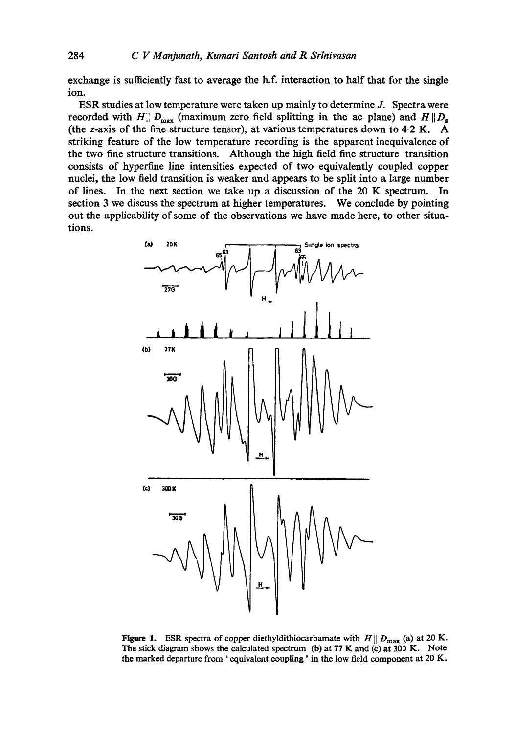exchange is sufficiently fast to average the h.f. interaction to half that for the single ion.

ESR studies at low temperature were taken up mainly to determine J. Spectra were recorded with H||  $D_{\text{max}}$  (maximum zero field splitting in the ac plane) and  $H \parallel D_z$ (the z-axis of the fine structure tensor), at various temperatures down to 4-2 K. A striking feature of the low temperature recording is the apparent inequivalence of the two fine structure transitions. Although the high field fine structure transition consists of hyperfine line intensities expected of two equivalently coupled copper nuclei, the low field transition is weaker and appears to be split into a large number of lines. In the next section we take up a discussion of the 20 K spectrum. In section 3 we discuss the spectrum at higher temperatures. We conclude by pointing out the applicability of some of the observations we have made here, to other situations.



Figure 1. ESR spectra of copper diethyldithiocarbamate with  $H \parallel D_{\text{max}}$  (a) at 20 K. The stick diagram shows the calculated spectrum (b) at 77 K and (c) at 300 K. Note the marked departure from ' equivalent coupling ' in the low field component at 20 K.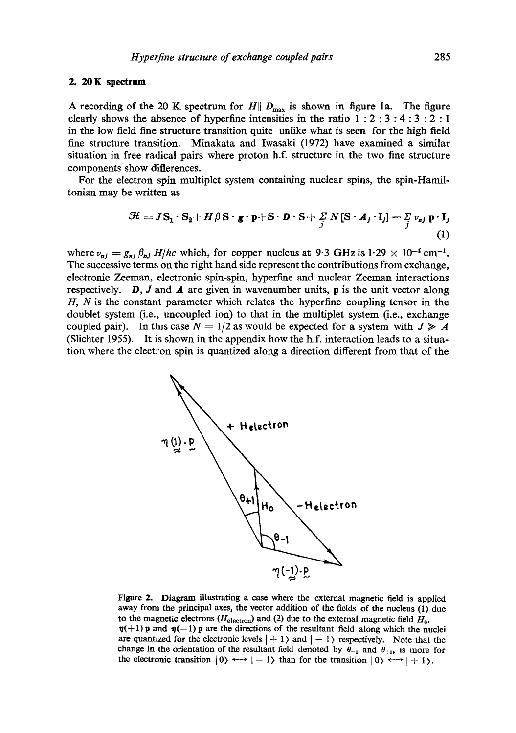#### **2. 20K spectrum**

A recording of the 20 K spectrum for  $H\|D_{\text{max}}$  is shown in figure 1a. The figure clearly shows the absence of hyperfine intensities in the ratio  $1:2:3:4:3:2:1$ in the low field fine structure transition quite unlike what is seen for the high field fine structure transition. Minakata and Iwasaki (1972) have examined a similar situation in free radical pairs where proton h.f. structure in the two fine structure components show differences.

For the electron spin multiplet system containing nuclear spins, the spin-Hamiltonian may be written as

$$
\mathcal{H} = J\mathbf{S}_1 \cdot \mathbf{S}_2 + H\beta \mathbf{S} \cdot \mathbf{g} \cdot \mathbf{p} + \mathbf{S} \cdot \mathbf{D} \cdot \mathbf{S} + \frac{\Sigma}{j} N \left[ \mathbf{S} \cdot \mathbf{A}_j \cdot \mathbf{I}_j \right] - \frac{\Sigma}{j} \nu_{nj} \mathbf{p} \cdot \mathbf{I}_j
$$
\n(1)

where  $v_{ni} = g_{ni} \beta_{ni} H/hc$  which, for copper nucleus at 9.3 GHz is 1.29  $\times$  10<sup>-4</sup> cm<sup>-1</sup>. The successive terms on the right hand side represent the contributions from exchange, electronic Zeeman, electronic spin-spin, hyperfine and nuclear Zeeman interactions respectively. **D**, J and **A** are given in wavenumber units, **p** is the unit vector along  $H, N$  is the constant parameter which relates the hyperfine coupling tensor in the doublet system (i.e., uncoupled ion) to that in the multiplet system (i.e., exchange coupled pair). In this case  $N = 1/2$  as would be expected for a system with  $J \ge A$ (Slichier 1955). It is shown in the appendix how the h.f. interaction leads to a situation where the electron spin is quantized along a direction different from that of the



Figure 2. Diagram illustrating a case where the external magnetic field is applied away from the principal axes, the vector addition of the fields of the nucleus (1) due to the magnetic electrons ( $H_{\text{electron}}$ ) and (2) due to the external magnetic field  $H_0$ .  $\eta(+1)$  p and  $\eta(-1)$  p are the directions of the resultant field along which the nuclei are quantized for the electronic levels  $| + 1 \rangle$  and  $| -1 \rangle$  respectively. Note that the change in the orientation of the resultant field denoted by  $\theta_{-1}$  and  $\theta_{+1}$ , is more for the electronic transition  $|0\rangle \leftrightarrow |-1\rangle$  than for the transition  $|0\rangle \leftrightarrow |+1\rangle$ .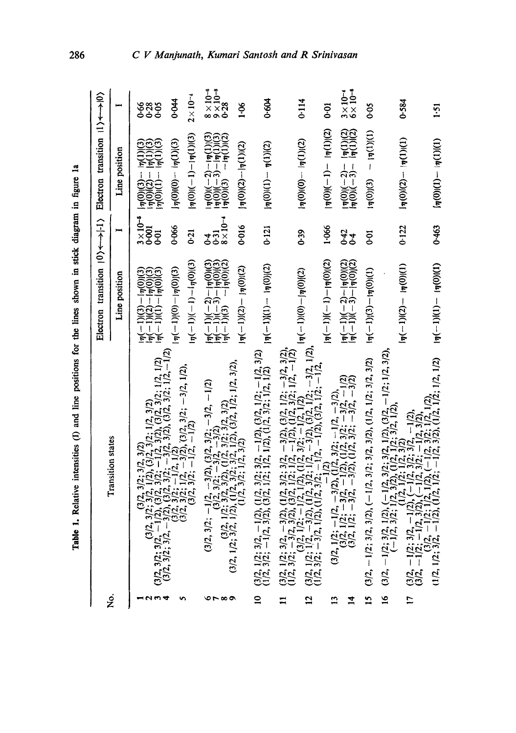| ֪ׅ֪ׅ֖֚֡֬֝֬֝֬֝֬֝֬֝֬֝֬֝֬֝֬֝֬֝֬֝֬֝֬֝֬֝֬֝֬֝֬֝                       |  |
|-----------------------------------------------------------------|--|
|                                                                 |  |
|                                                                 |  |
|                                                                 |  |
|                                                                 |  |
|                                                                 |  |
| ֖֖֖ׅׅ֧֚֚֚֚֚֚֚֚֚֚֚֚֚֚֚֚֚֚֚֡֝֝֕֓֡֡֬֝֬֓֡֬֝֓֬֝֓֬֝֓֬֓֝֬֓֞֓֬֝֓֬֓֞֬֝֓֬ |  |
|                                                                 |  |
|                                                                 |  |
|                                                                 |  |
|                                                                 |  |
|                                                                 |  |
|                                                                 |  |
|                                                                 |  |
|                                                                 |  |
|                                                                 |  |
|                                                                 |  |
|                                                                 |  |
|                                                                 |  |
|                                                                 |  |
|                                                                 |  |
|                                                                 |  |
|                                                                 |  |
|                                                                 |  |
|                                                                 |  |
|                                                                 |  |
|                                                                 |  |
| l                                                               |  |
|                                                                 |  |
|                                                                 |  |
| J                                                               |  |
|                                                                 |  |

286

|                |                                                                                                                                                                                                                                                                         | Electron transition $ 0\rangle \leftarrow \rightarrow  1\rangle$ Electron transition $ 1\rangle \leftarrow \rightarrow  0\rangle$                            |                                               |                                                                                                                 |                                               |
|----------------|-------------------------------------------------------------------------------------------------------------------------------------------------------------------------------------------------------------------------------------------------------------------------|--------------------------------------------------------------------------------------------------------------------------------------------------------------|-----------------------------------------------|-----------------------------------------------------------------------------------------------------------------|-----------------------------------------------|
| ż              | <b>Transition states</b>                                                                                                                                                                                                                                                | Line position                                                                                                                                                |                                               | Line position                                                                                                   |                                               |
|                | $(3/2, 3/2; 3/2, 3/2; 3/2; 3/2; 1/2, 3/2)$<br>$(3/2, 3/2; 3/2; 1/2), (3/2, 3/2; 1/2, 3/2)$<br>$(3/2, 3/2; -1/2), (3/2, 3/2; -1/2, 3/2), (3/2, 3/2; 1/2, 1/2)$<br>$(3/2, 3/2; -3/2), (3/2, 3/2; -3/2), (3/2, 3/2; 1/2, -1/2)$<br>$(3/2, 3/2; 1/2, -3/2$                  | $\begin{array}{l} \ln\left(-1\right)(3)-\ln(0)(3) \\ \ln\left(-1\right)(2)-\ln(0)(3) \\ \ln\left(-1\right)(2)-\ln(0)(3) \\ \ln(-1)(1)-\ln(0)(3) \end{array}$ | $3 \times 10^{-5}$<br>0.001<br>$\overline{6}$ |                                                                                                                 | ತಿ<br>ಇಂಕಿ                                    |
|                |                                                                                                                                                                                                                                                                         | $\frac{1}{\eta}(-1)(0)-\frac{1}{\eta}(0)(1)$                                                                                                                 | 0.066                                         | $ \eta(0) (0) -  \eta(1) (3)$                                                                                   | 0.044                                         |
|                |                                                                                                                                                                                                                                                                         | $\frac{1}{\eta}(-1)(-1)-\frac{1}{\eta}(0)(3)$                                                                                                                | 0.21                                          | $ \eta(0) (-1)- \eta(1) (3)$                                                                                    | $2\times10^{-4}$                              |
| <b></b>        | $(3/2, 3/2; -1/2, -3/2), (3/2, 3/2; -3/2, -1/2)$<br>$(3/2, 1/2; 3/2, 3/2), (1/2, 3/2; 3/2, 3/2)$<br>$(3/2, 1/2; 3/2, 1/2), (1/2, 3/2; 3/2; 1/2), (3/2, 1/2, 1/2, 3/2),$<br>$(1/2, 3/2; 1/2, 3/2; 1/2, 3/2)$                                                             | $\frac{1}{17}(-1)(-2)-\frac{1}{17}(0)(3)$<br>$\frac{1}{17}(-1)(-3)-\frac{1}{17}(0)(3)$<br>$\frac{1}{17}(-1)(3)-\frac{1}{17}(0)(2)$                           | $8 \times 10^{-4}$<br>र लु<br>इ.              | $\frac{1}{n}(0)((-2)-(n(1))(3)\n\frac{1}{n}(0)(-3)-(n(1))(3)\n\frac{1}{n}(0)(3) - (n(1))(2)\n\frac{1}{n}(0)(3)$ | $8 \times 10^{-8}$<br>$9 \times 28$<br>$0.28$ |
|                |                                                                                                                                                                                                                                                                         | $ \eta(-1)(2)- \eta(0)(2) $                                                                                                                                  | 0.016                                         | $ \eta(0)(2)- \eta(1)(2) $                                                                                      | $\frac{8}{1}$                                 |
| $\mathbf{a}$   | $(3/2, 1/2; 3/2, -1/2), (1/2, 3/2; 3/2, -1/2), (3/2, 1/2; -1/2, 3/2)$<br>$(1/2, 3/2; -1/2, 3/2), (3/2, 1/2; 1/2, 1/2), (1/2, 3/2; 1/2, 1/2)$                                                                                                                            | $ \eta(-1) (1) -  \eta(0) (2)$                                                                                                                               | 0.121                                         | $\mathbf{p}(1) = \mathbf{p}(1)(0)$                                                                              | 0.604                                         |
| $\mathbf{I}$   |                                                                                                                                                                                                                                                                         |                                                                                                                                                              |                                               |                                                                                                                 |                                               |
| $\vec{a}$      | $\begin{array}{l} (3/2, 1/2; 3/2, -3/2), (1/2, 3/2; 3/2, -3/2), (3/2, 1/2; -3/2, 3/2),\\ (1/2, 3/2; -3/2, 3/2), (3/2, 1/2; -1/2), (1/2, 3/2; 1/2; -1/2)\\ (3/2, 1/2; 1/2; -1/2, 1/2), (1/2, 3/2; -1/2, 1/2)\\ (3/2, 1/2; 1/2, -3/2), (1/2, 3/2; 1/2, -3/2), (3/2, 1/2;$ | $ \eta(-1) (0)- \eta(0) (2)$                                                                                                                                 | 0.39                                          | $\mathsf{I}\mathsf{n}(0) = \mathsf{I}\mathsf{n}(1)$                                                             | 0.114                                         |
| $\mathbf{13}$  |                                                                                                                                                                                                                                                                         | $ \eta(-1) (-1)- \eta(0) (2)$                                                                                                                                | 1.066                                         | $ \eta(0) (-1)- \eta(1) (2)$                                                                                    | ត្ត                                           |
| $\vec{a}$      | $(3/2, 1/2; -1/2, -3/2),$<br>$(3/2, 1/2; -1/2, -3/2),$<br>$(1/2, 3/2; -1/2, -3/2),$<br>$(3/2, 1/2; -3/2, -1/2),$<br>$(1/2, 1/2; -3/2, -3/2),$<br>$(1/2, 3/2; -3/2, -3/2),$                                                                                              | $\frac{1}{4}$ $\frac{1}{4}$ $\frac{(-1)}{(-1)(-3)} - \frac{1}{4}$ $\frac{1}{0}$ $\frac{1}{2}$ $\frac{1}{2}$                                                  | ५५<br>००                                      | $\frac{1}{4}(0)(-2) - \frac{1}{4}(1)(2)$<br>$\frac{1}{4}(0)(-3) - \frac{1}{4}(1)(2)$                            | $\frac{3 \times 10^{-4}}{6 \times 10^{-6}}$   |
| $\frac{5}{1}$  | $(3/2, -1/2; 3/2, 3/2), (-1/2, 3/2; 3/2, 3/2), (1/2, 1/2; 3/2, 3/2)$                                                                                                                                                                                                    | $(\eta(-1)(3) - (\eta(0))(1)$                                                                                                                                | $\overline{5}$                                | $\ln(1)(1) = \ln(1)(1)$                                                                                         | 300                                           |
| $\frac{6}{1}$  |                                                                                                                                                                                                                                                                         |                                                                                                                                                              |                                               |                                                                                                                 |                                               |
| $\overline{1}$ | $(3/2, -1/2; 3/2, 1/2), (-1/2, 3/2; 3/2, 1/2), (3/2, -1/2; 1/2, 3/2),$<br>$(-1/2, 3/2; 1/2, 3/2), (1/2, 1/2; 3/2, 1/2),$<br>$(3/2, -1/2; 3/2, -1/2), (-1/2, 3/2; 3/2, -1/2),$<br>$(3/2, -1/2, 3/2), (-1/2, 3/2; 3/2, -1/2),$<br>$(3/2, -1/2, 3/2, 1/2, 1/2, (-1/2$      | $\ln(-1)(2) - \ln(0)(1)$                                                                                                                                     | 0.122                                         | $ \eta(0) (2) -  \eta(1) (1)$                                                                                   | 0.584                                         |
|                |                                                                                                                                                                                                                                                                         | $ \eta(-1) (1)- \eta(0) (1)$                                                                                                                                 | 0.463                                         | $\ln(0)(1) - \ln(1)(1)$                                                                                         | 1:51                                          |

# C V Manjunath, Kumari Santosh and R Srinivasan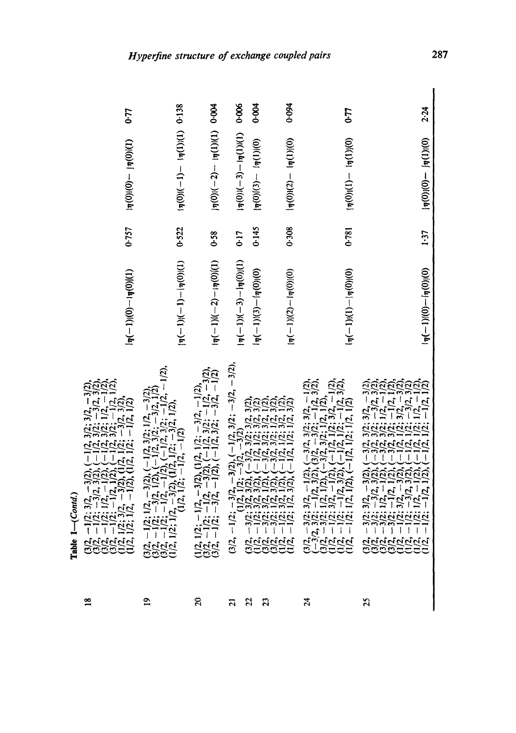| 0.77                                                                                                                                                                                                                                                                                   |                                                                                                                                                                                                                  |                                                                                                                                                      | 0.006                         | 0.004                          | 0.094                                                                                                                                                                                                                                                                 | 0.77                                                                                                                                                                                                                                                                    | 2.24                                                                                                                                                                                                                                                                                                                                                                                                                                                                                                                                                                                                                                                   |
|----------------------------------------------------------------------------------------------------------------------------------------------------------------------------------------------------------------------------------------------------------------------------------------|------------------------------------------------------------------------------------------------------------------------------------------------------------------------------------------------------------------|------------------------------------------------------------------------------------------------------------------------------------------------------|-------------------------------|--------------------------------|-----------------------------------------------------------------------------------------------------------------------------------------------------------------------------------------------------------------------------------------------------------------------|-------------------------------------------------------------------------------------------------------------------------------------------------------------------------------------------------------------------------------------------------------------------------|--------------------------------------------------------------------------------------------------------------------------------------------------------------------------------------------------------------------------------------------------------------------------------------------------------------------------------------------------------------------------------------------------------------------------------------------------------------------------------------------------------------------------------------------------------------------------------------------------------------------------------------------------------|
| $(1)(0)u(-0)(0)u$                                                                                                                                                                                                                                                                      | $\frac{1}{20}$ (1)(1)(1)(1)(1)(1)(1)(1)(1)(1)                                                                                                                                                                    | $\frac{1}{2}(0)(1) - \frac{1}{2}(-2) - \frac{1}{2}(0)$                                                                                               | $ \eta(0) (-3)- \eta(1) (1)$  | $ \eta(0) (3) -  \eta(1) (0) $ | $ \eta(0) (2) -  \eta(1) (0)$                                                                                                                                                                                                                                         | $(\eta(0)(1) - (\eta(1))(0)$                                                                                                                                                                                                                                            | $ \eta(0) (0) -  \eta(1) (0) $                                                                                                                                                                                                                                                                                                                                                                                                                                                                                                                                                                                                                         |
| 0.757                                                                                                                                                                                                                                                                                  | 0.522                                                                                                                                                                                                            | 0.58                                                                                                                                                 | <b>CT-0</b>                   | 0.145                          | 0.308                                                                                                                                                                                                                                                                 | 0.781                                                                                                                                                                                                                                                                   | 1.37                                                                                                                                                                                                                                                                                                                                                                                                                                                                                                                                                                                                                                                   |
| $\frac{1}{7}(-1)(0)-\frac{1}{7}(0)(1)$                                                                                                                                                                                                                                                 | $ \eta(-1) (-1)- \eta(0) (1)$                                                                                                                                                                                    | $\frac{1}{2}(\eta(-1)(-2)-\frac{1}{2}(0)(1))$                                                                                                        | $ \eta(-1) (-3)- \eta(0) (1)$ | $1\eta(-1)(3)-\eta(0)(0)$      | $ \eta(-1) (2)- \eta(0) (0)$                                                                                                                                                                                                                                          | $\left[\eta(-1)(1)-\eta(0)(0)\right]$                                                                                                                                                                                                                                   | $\frac{1}{\eta}(-1)(0)-\frac{1}{\eta}(0)(0)$                                                                                                                                                                                                                                                                                                                                                                                                                                                                                                                                                                                                           |
| $\begin{array}{l} (3/2,-1/2;~3/2,-3/2), (-1/2,~3/2;~3/2,-3/2),\\ (3/2,-1/2;~-3/2,~3/2), (-1/2,~3/2;~-3/2,~3/2),\\ (3/2,-1/2;~1/2,-1/2), (-1/2,~3/2;~1/2,-1/2),\\ (3/2,-1/2;~-1/2,~1/2), (-1/2,~3/2;~-1/2),\\ (1/2,~1/2;~3/2,-3/2), (1/2,~1/2;~-3/2),\\ (1/2,~1/2;~1/2,-1/2), (1/2,~1/$ | $(3/2, -1/2; 1/2, -3/2), (-1/2, 3/2; 1/2, -3/2),$<br>$(3/2, -1/2; -3/2, 1/2), (-1/2, 3/2; -3/2, 1/2),$<br>$(3/2, -1/2; -1/2, -1/2), (-1/2, 3/2; -1/2, -1/2),$<br>$(1/2, 1/2; 1/2, -3/2), (1/2, 1/2; -3/2, 1/2),$ | $(1/2, 1/2; -1/2, -3/2), (1/2, 1/2; -3/2, -1/2), (3/2, -1/2; -1/2, -3/2), (-1/2, 3/2; -1/2, -3/2), (3/2, -1/2; -3/2, -1/2), (-1/2, 3/2; -3/2, -1/2)$ |                               |                                | $(3/2, -1/2; -3/2, -3/2), (-1/2, 3/2; -3/2, -3/2),$<br>$(3/2, -3/2; 3/2, 3/2, -3/2, -3/2)$<br>$(3/2, -1/2; 3/2, 3/2), (-3/2, 3/2; 3/2, 3/2),$<br>$(3/2, -1/2; 3/2), (-1/2, 1/2; 3/2, 3/2),$<br>$(3/2, -3/2; 1/2, 3/2), (-3/2, 3/2; 1/2, 3/2),$<br>$(1/2, -1/2; 3/2),$ | $(3/2, -3/2; 3/2, -1/2), (-3/2, 3/2; 3/2, -1/2),$<br>$(-3/2, 3/2; -1/2, 3/2), (3/2, -3/2; -1/2, 3/2),$<br>$(3/2, -3/2; 1/2, 1/2), (-3/2, 3/2; 1/2, 1/2),$<br>$(1/2, -1/2; 3/2, -1/2), (-1/2, 1/2; 3/2, -1/2),$<br>$(1/2, -1/2; -1/2, 3/2), (-1/2, 1/2; -1/2, 3/2),$<br> | $\begin{array}{l} (-3/2, 3/2; 3/2; -3/2),\\ (-3/2, 3/2; -3/2, 3/2),\\ (-3/2, 3/2; 1/2, -1/2),\\ (-3/2, 3/2; 1/2, -1/2),\\ (-1/2, 1/2; -3/2, -3/2),\\ (-1/2, 1/2; -1/2, -1/2),\\ (-1/2, 1/2; -1/2, -1/2), \end{array}$<br>$\begin{array}{l} (-1) \mathcal{L}_1 - 1 \mathcal{L}_2 + 1 \mathcal{L}_3 + 1 \mathcal{L}_4 \\ (1) \mathcal{L}_2 - 1 \mathcal{L}_3 + 1 \mathcal{L}_4 \\ (2) \mathcal{L}_3 - 1 \mathcal{L}_4 \\ (3) \mathcal{L}_2 - 1 \mathcal{L}_4 \\ (4) \mathcal{L}_3 - 1 \mathcal{L}_4 \\ (5) \mathcal{L}_4 - 1 \mathcal{L}_4 \\ (5) \mathcal{L}_5 - 1 \mathcal{L}_5 \\ (6) \mathcal{L}_5 - 1 \mathcal{L}_5 \\ (7) \mathcal{L}_6 - 1 \math$ |
| $\frac{8}{16}$                                                                                                                                                                                                                                                                         | $\tilde{e}$                                                                                                                                                                                                      | $\mathbf{z}$                                                                                                                                         | $\overline{c}$                | 22                             | $\boldsymbol{23}$                                                                                                                                                                                                                                                     | 24                                                                                                                                                                                                                                                                      | $^{25}$                                                                                                                                                                                                                                                                                                                                                                                                                                                                                                                                                                                                                                                |

**Table** *l--(Contd.)* 

Table 1-(Contd.)

 $28$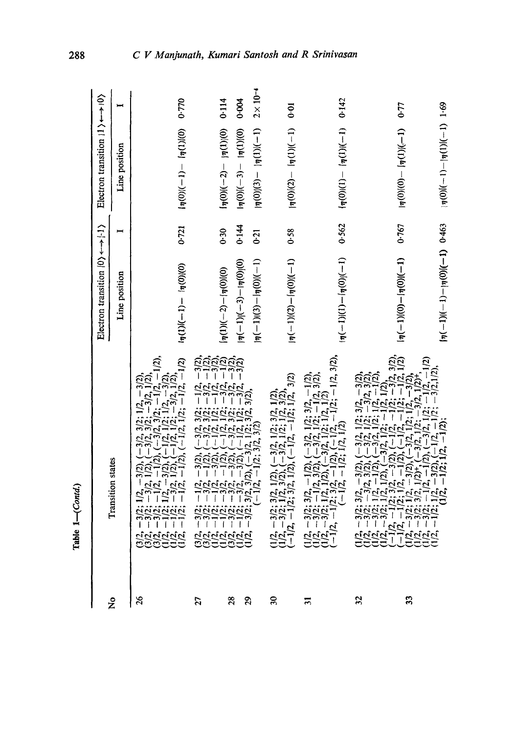|                             |                                                                                                                                                                                                                                                                                                                                                                                                                                                                                             | Electron transition $ 0\rangle \leftrightarrow  1\rangle$ |                | Electron transition $ 1\rangle \leftarrow \rightarrow  0\rangle$ |                    |
|-----------------------------|---------------------------------------------------------------------------------------------------------------------------------------------------------------------------------------------------------------------------------------------------------------------------------------------------------------------------------------------------------------------------------------------------------------------------------------------------------------------------------------------|-----------------------------------------------------------|----------------|------------------------------------------------------------------|--------------------|
| ž                           | <b>Transition</b> states                                                                                                                                                                                                                                                                                                                                                                                                                                                                    | Line position                                             | $\blacksquare$ | Line position                                                    |                    |
| $\frac{26}{5}$              | $(2; -1/2, -1/2)$<br>$\begin{array}{c} \n2, 3 \overline{)2}; -1 \overline{)2}, -1 \overline{)12}; 1 \overline{)2}, -3 \overline{)2}, \ \n1 \overline{)2}; -3 \overline{)2}, \ \n1 \overline{)2}; -3 \overline{)2}, 1 \overline{)3}, \ \n\end{array}$<br><u>ລິຊີ</u><br>$-3/2,$<br>$-1/2, 1$<br>$-1/2$                                                                                                                                                                                       | $(\eta(0) _{\eta} - 1) - (1 - 1)(1 \eta )$                | 0.721          | $ \eta(0) (-1)- \eta(1) (0)$                                     | 0.770              |
| 27                          | $\begin{array}{l} 3/2; \ -1/2, \ -3/2; \\ 3/2; \ -3/2, \ -1/2; \\ 1/2; \ -1/2, \ -1/2; \\ 1/2; \ -3/2; \ -1/2; \\ 3/2; \ -3/2; \ -3/2; \\ 1/2; \ -3/2; \ -3/2 \end{array}$<br>ين<br>$\overline{1}$<br>T                                                                                                                                                                                                                                                                                     | $\left[\eta(1)(-2)-\left[\eta(0)\right](0)\right]$        | 0.30           | $ \eta(0) (-2)- \eta(1) (0)$                                     | 0.114              |
| 28                          | $\overline{5}$ בק<br>$\frac{3}{2}$<br>7                                                                                                                                                                                                                                                                                                                                                                                                                                                     | $ \eta(-1) (-3)- \eta(0) (0)$                             | 0.144          | $ \eta(0) (-3) -  \eta(1) (0)$                                   | 0.004              |
| 29                          | (2, 1/2; 3/2, 3/2),<br>$3/2$ , $3/2$ ), $(-3/2, 1/2;$<br>$-1/2, -1/2; 3/2, 3/2)$                                                                                                                                                                                                                                                                                                                                                                                                            | $ \eta(-1)(3)- \eta(0) (-1)$                              | 0.21           | $\frac{1}{2}(1)(1)(1) = \frac{1}{2}(1)(1)(1-1)$                  | $2 \times 10^{-4}$ |
| $\mathfrak{D}$              | $\begin{array}{l} -3/2; \ 3/2, \ 1/2), \ (-3/2, \ 1/2, \ 3/2, \ 1/2), \\ -3/2; \ 1/2, \ 3/2), \ (-3/2, \ 1/2, \ 1/2, \ 3/2), \\ 2, \ -1/2; \ 3/2, \ 1/2), \ (-1/2, \ -1/2; \ 1/2, \ 3/2) \end{array}$<br>$\frac{1}{2}$<br>$\frac{1}{2}$<br>$\frac{1}{2}$<br>$\frac{1}{2}$                                                                                                                                                                                                                   | $\frac{1}{1}$ (1 - 1)(2) $\frac{1}{1}$ (2)(1 - 1)         | 0.58           | $\frac{1}{2}$ (1)(1)(1)(-1)(-1)                                  | 0.01               |
| $\overline{\overline{3}}$   | $1/2$ ; $-1/2$ , $3/2$ ),<br>$\begin{array}{l} (-3/2, 1/2; 3/2, -1/2),\\ (-3/2, 1/2; -1/2, 3/2),\\ -3/2, 1/2; 1/2, 1/2)\end{array}$<br>$2, -1/2; 1$<br>$-3/2$ ; 3/2, $-1/2$ ), (<br>$-3/2$ ; $-1/2$ , 3/2), (<br>$-3/2;1$<br>$(-1/2,$<br>בובה<br>הכבר<br>הכבר                                                                                                                                                                                                                               | $(\eta(-1)(1) - (\eta(0))$                                | 0.562          | $\eta(0)(1) - \eta(1)(-1)$                                       | 0.142              |
| $\boldsymbol{\mathfrak{Z}}$ | 2), $(-3/2, 1/2; 3/2, -3/2)$ ,<br>2), $(-3/2, 1/2; -3/2, 3/2)$ ,<br>2), $(-3/2, 1/2; 1/2, -1/2)$ ,<br>$(-3/2, 1/2; -1/2, 1/2)$ ,<br>77<br>$\begin{array}{l} 2, -3/2; 3/2, -3/2), (-3, -3/2), (-3, -3/2); (-3, -3/2); (-3, -3/2); (-3/2, -3/2); (-3/2, -3/2); (-3/2, -1/2); (-3/2, -1/2); (-3/2, -1/2); (-3/2, -1/2); (-3/2, -1/2); (-3/2, -1/2); (-3/2, -1/2); (-3/2, -1/2); (-3/2, -1/2); (-3/2, -1/2); (-3/2, -1/2); (-3/2, -1/2); (-3/2, -1/2); (-3/2, -1/2); (-3/$<br>ה<br>קקקק<br>קבבב |                                                           |                |                                                                  |                    |
| 33                          | $\begin{array}{l} (2,-3/2,3/2),\ (1/2,-1/2,1/2),\ (1/2,-3/2), \end{array}$<br>1/2)<br>$(2, -3/2),$                                                                                                                                                                                                                                                                                                                                                                                          | $\frac{1}{2}$ (1–1)(0) – $\frac{1}{2}$ (0)(1–1)           | 0.767          | $\frac{1}{4}(0)(0) - \frac{1}{4}(1)(1-1)$                        | 0.77               |
|                             | $-1/2;1$                                                                                                                                                                                                                                                                                                                                                                                                                                                                                    | $\frac{(n-1)(-1)(n-1)}{2(n-1)}$                           |                | $(\eta(0)$ (1 - )(1) $\eta(1)$ (1 - 1)                           |                    |

oo Table *l--(Contd.)*  Table 1-(Contd.)

288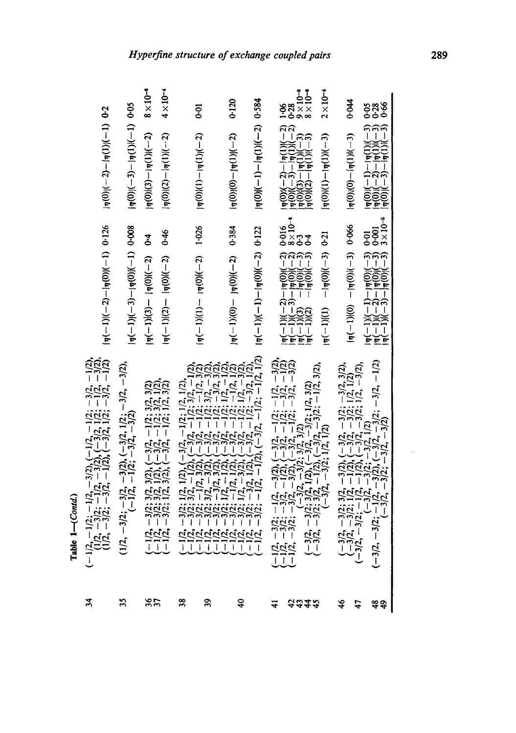| ž             | $(-1/2, -1/2; -1/2, -3/2), (-1/2, -1/2; -3/2, -1/2),$<br>$(1/2, -3/2; -1/2, -3/2), (-3/2, 1/2; -1/2, -3/2),$<br>$(1/2, -3/2; -3/2; -1/2), -1/2), (-3/2, 1/2; -3/2, -1/2)$                                                                                                                 | $ \eta(-1) (-2)- \eta(0) (-1)$ 0.126                                                                                                                                                                   | $\frac{1}{2}$ (1-)((1)(1)(1)(1)(1)(0)(1-)                                                                                                                                                                                                                                         |                                             |
|---------------|-------------------------------------------------------------------------------------------------------------------------------------------------------------------------------------------------------------------------------------------------------------------------------------------|--------------------------------------------------------------------------------------------------------------------------------------------------------------------------------------------------------|-----------------------------------------------------------------------------------------------------------------------------------------------------------------------------------------------------------------------------------------------------------------------------------|---------------------------------------------|
| 35            | $(1/2, -3/2; -3/2, -3/2), (-3/2, 1/2; -3/2, -3/2),$<br>$(-1/2, -1/2; -3/2, -3/2)$                                                                                                                                                                                                         | $ \eta(-1) (-3)- \eta(0) (-1)$ 0.008                                                                                                                                                                   | $ \eta(0) (-3)- \eta(1) (-1)$ 0.05                                                                                                                                                                                                                                                |                                             |
| ងន            | $(-1/2, -3/2; 3/2, 3/2), (-3/2, -1/2; 3/2, 3/2)$<br>$(-1/2, -3/2; 3/2, 1/2), (-3/2, -1/2; 3/2, 1/2),$<br>$(-1/2, -3/2; 1/2, 3/2), (-3/2, -1/2; 1/2, 3/2)$                                                                                                                                 | $ \eta(-1) (2) -  \eta(0) (-2)$ 0.46<br>$ \eta(-1)(3)- \eta(0) (-2)$ 0.4                                                                                                                               | $ \eta(0) (3)- \eta(1) (-2)$ 8 × 10 <sup>-6</sup><br>$ \eta(0) (2) -  \eta(1) (-2)$ 4 × 10 <sup>-4</sup>                                                                                                                                                                          |                                             |
| 38            |                                                                                                                                                                                                                                                                                           |                                                                                                                                                                                                        |                                                                                                                                                                                                                                                                                   | <b>p</b> -0                                 |
| వ్లి          | $\begin{array}{l} (-1/2,-3/2;1/2,(1/2),(1/2,-1/2;1/2,-1/2,1/2),\\ (-1/2,-3/2;3/2,-1/2,3/2,-1/2;3/2,-1/2,3/2)\\ (-1/2,-3/2;1/2,3/2),(-3/2,-1/2;3/2,3/2),\\ (-1/2,-3/2;3/2,-3/2),(-3/2,-1/2;3/2,-3/2),\\ (-1/2,-3/2;1/2,3/2),(-3/2,-1/2;1/2,3/2),\\ (-1/2,-3/2;1/2,1/2),(-3/2,-1/2;1/2,-1/$ | $ \eta(-1) (1) -  \eta(0) (-2)$ 1.026                                                                                                                                                                  | $ \eta(0) (1)- \eta(1) (-2)$                                                                                                                                                                                                                                                      |                                             |
| $\ddot{ }$    |                                                                                                                                                                                                                                                                                           | $\frac{1}{2}$ (c) - $\frac{1}{2}$ (0) - $\frac{1}{2}$ (0) - $\frac{1}{2}$                                                                                                                              | $\frac{1}{2}$ (0)(0)(0) – $\frac{1}{2}$ (1)(-2)                                                                                                                                                                                                                                   | 0.120                                       |
|               |                                                                                                                                                                                                                                                                                           | $\frac{1}{2}(-1)(-1)-\frac{1}{2}(0)(-2)$ 0.122                                                                                                                                                         | $\frac{1}{2}$ (0)((-1)((1) $\frac{1}{2}$ (1)((1)(-1)((0))(-1)                                                                                                                                                                                                                     |                                             |
| ₹             | $(-1/2, -3/2; -1/2, -3/2), (-3/2, -1/2; -1/2, -3/2),$<br>$(-1/2, -3/2; -3/2, -1/2), (-3/2, -1/2; -3/2, -1/2),$<br>$(-1/2, -3/2; -3/2, -3/2), (-3/2, -1/2; -3/2, -3/2),$<br>$(-3/2, -3/2; 3/2, -3/2; 3/2, 3/2; 3/2; -3/2, -3/2),$<br>$(-3/2, -3/2; 3/2, -1/2), (-3/2, -3/2; 1/2, 3/2$      |                                                                                                                                                                                                        | $\begin{array}{lll} \frac{14(0)(-2)-\eta(1)(-2)}{10(0)(-3)-\eta(1)(-2)} & \frac{1}{100} & \frac{1}{100} \\ \frac{14(0)(-3)-\eta(1)(-3)}{10(0)(3)-\eta(1)(-3)} & \frac{9}{5} & \times 1 \\ \frac{14(0)(2)-\eta(1)(-3)}{10(0)(2)-\eta(1)(-3)} & \frac{8}{5} & \times 1 \end{array}$ |                                             |
| <b>aais</b>   |                                                                                                                                                                                                                                                                                           | $\begin{array}{l}  \eta(-1) (-2)- \eta(0) (-2) & 0.016 \\  \eta(-1) (-3)- \eta(0) (-2) & 8 \times 10^{-4} \\  \eta(-1) (3) & - \eta(0) (-3) & 0.3 \\  \eta(-1) (2) & - \eta(0) (-3) & 0.4 \end{array}$ |                                                                                                                                                                                                                                                                                   | $\frac{9 \times 10^{-8}}{8 \times 10^{-6}}$ |
|               |                                                                                                                                                                                                                                                                                           | $(\pi(-1))(-1)$                                                                                                                                                                                        | $\left[\eta(0) (1)-\left[\eta(1)\right]\right(-3)\right]$                                                                                                                                                                                                                         | $2 \times 10^{-4}$                          |
| $\frac{4}{5}$ | $(-3/2, -3/2; 3/2, -3/2), (-3/2, -3/2, -3/2, 3/2),$<br>$(-3/2, -3/2; 1/2, -1/2), (-3/2, -3/2; 1/2, 1/2),$<br>$(-5/2, -3/2; -1/2, -1/2), (-3/2, -3/2; 1/2, -3/2),$<br>$(-3/2, -3/2; -1/2, -3/2), (-3/2, 1/2), (-3/2, -3/2, -1/2)$                                                          | $\frac{660}{10}$ (n - )(0) $\frac{1}{2}$ (0) = 1 (0)                                                                                                                                                   | $\eta(0)(0) - \eta(1)(-3)$                                                                                                                                                                                                                                                        | 0.044                                       |
| 47            |                                                                                                                                                                                                                                                                                           |                                                                                                                                                                                                        |                                                                                                                                                                                                                                                                                   |                                             |
| #ą            |                                                                                                                                                                                                                                                                                           | $ \eta(-1) (-1)-\eta(0) (-3)$ 0.01<br>$ \eta(-1) (-2)- \eta(0) (-3)$ 0.001<br>$ \eta(-1) (-3)- \eta(0) (-3)$ 3 × 10 <sup>-5</sup>                                                                      | $\frac{1}{10}(0)(-1)-\frac{1}{10}(1)(-3)$<br>$\frac{1}{10}(0)(-2)-\frac{1}{10}(1)(-3)$<br>$\frac{1}{10}(0)(-3)-\frac{1}{10}(1)(-3)$                                                                                                                                               | sas<br>000                                  |

**Table** *1--(Contd.)* 

Table 1-(Contd.)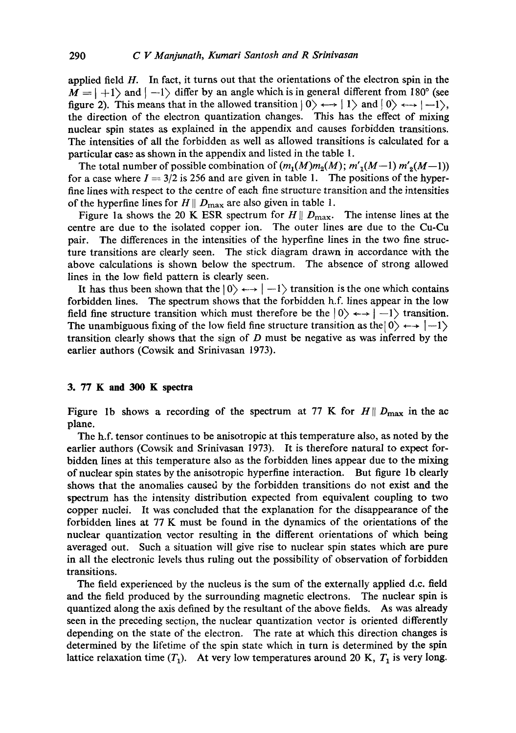applied field  $H$ . In fact, it turns out that the orientations of the electron spin in the  $M = |+1\rangle$  and  $|-1\rangle$  differ by an angle which is in general different from 180° (see figure 2). This means that in the allowed transition  $|0\rangle \leftrightarrow |1\rangle$  and  $|0\rangle \leftrightarrow |-1\rangle$ , the direction of the electron quantization changes. This has the effect of mixing nuclear spin states as explained in the appendix and causes forbidden transitions. The intensities of all the forbidden as well as allowed transitions is calculated for a particular case as shown in the appendix and listed in the table 1.

The total number of possible combination of  $(m_1(M)m_2(M); m'_1(M-1) m'_2(M-1))$ for a case where  $I = 3/2$  is 256 and are given in table 1. The positions of the hyperfine lines with respect to the centre of each fine structure transition and the intensities of the hyperfine lines for  $H \parallel D_{\text{max}}$  are also given in table 1.

Figure 1a shows the 20 K ESR spectrum for  $H \parallel D_{\text{max}}$ . The intense lines at the centre are due to the isolated copper ion. The outer lines are due to the Cu-Cu pair. The differences in the intensities of the hyperfine lines in the two fine structure transitions are clearly seen. The stick diagram drawn in accordance with the above calculations is shown below the spectrum. The absence of strong allowed lines in the low field pattern is clearly seen.

It has thus been shown that the  $|0\rangle \leftrightarrow |-1\rangle$  transition is the one which contains forbidden lines. The spectrum shows that the forbidden h.f. lines appear in the low field fine structure transition which must therefore be the  $|0\rangle \leftrightarrow |-1\rangle$  transition. The unambiguous fixing of the low field fine structure transition as the  $\vert 0 \rangle \leftarrow$   $\vert -1 \rangle$ transition clearly shows that the sign of  $D$  must be negative as was inferred by the earlier authors (Cowsik and Srinivasan 1973).

#### **3. 77 K and 300 K spectra**

Figure 1b shows a recording of the spectrum at 77 K for  $H \parallel D_{\text{max}}$  in the ac plane.

The h.f. tensor continues to be anisotropic at this temperature also, as noted by the earlier authors (Cowsik and Srinivasan I973). It is therefore natural to expect forbidden lines at this temperature also as the forbidden lines appear due to the mixing of nuclear spin states by the anisotropic hyperfine interaction. But figure lb clearly shows that the anomalies caused by the forbidden transitions do not exist and the spectrum has the intensity distribution expected from equivalent coupling to two copper nuclei. It was concluded that the explanation for the disappearance of the forbidden lines at 77 K must be found in the dynamics of the orientations of the nuclear quantization vector resulting in the different orientations of which being averaged out. Such a situation will give rise to nuclear spin states which are pure in all the electronic levels thus ruling out the possibility of observation of forbidden transitions.

The field experienced by the nucleus is the sum of the externally applied d.c. field and the field produced by the surrounding magnetic electrons. The nuclear spin is quantized along the axis defined by the resultant of the above fields. As was already seen in the preceding section, the nuclear quantization vector is oriented differently depending on the state of the electron. The rate at which this direction changes is determined by the lifetime of the spin state which in turn is determined by the spin lattice relaxation time  $(T_1)$ . At very low temperatures around 20 K,  $T_1$  is very long.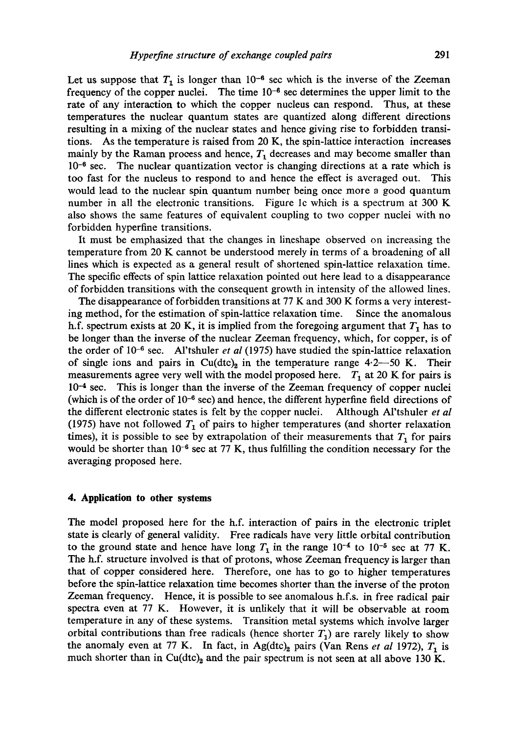Let us suppose that  $T_1$  is longer than  $10^{-6}$  sec which is the inverse of the Zeeman frequency of the copper nuclei. The time  $10^{-6}$  sec determines the upper limit to the rate of any interaction to which the copper nucleus can respond. Thus, at these temperatures the nuclear quantum states are quantized along different directions resulting in a mixing of the nuclear states and hence giving rise to forbidden transitions. As the temperature is raised from 20 K, the spin-lattice interaction increases mainly by the Raman process and hence,  $T_1$  decreases and may become smaller than  $10^{-6}$  sec. The nuclear quantization vector is changing directions at a rate which is too fast for the nucleus to respond to and hence the effect is averaged out. This would lead to the nuclear spin quantum number being once more a good quantum number in all the electronic transitions. Figure Ic which is a spectrum at 300 K also shows the same features of equivalent coupling to two copper nuclei with no forbidden hyperfine transitions.

It must be emphasized that the changes in lineshape observed on increasing the temperature from 20 K cannot be understood merely in terms of a broadening of all lines which is expected as a general result of shortened spin-lattice relaxation time. The specific effects of spin lattice relaxation pointed out here lead to a disappearance of forbidden transitions with the consequent growth in intensity of the allowed lines.

The disappearance of forbidden transitions at 77 K and 300 K forms a very interesting method, for the estimation of spin-lattice relaxation time. Since the anomalous h.f. spectrum exists at 20 K, it is implied from the foregoing argument that  $T_1$  has to be longer than the inverse of the nuclear Zeeman frequency, which, for copper, is of the order of 10<sup>-6</sup> sec. Al'tshuler *et al* (1975) have studied the spin-lattice relaxation of single ions and pairs in Cu(dtc)<sub>2</sub> in the temperature range  $4.2-50$  K. Their measurements agree very well with the model proposed here.  $T_1$  at 20 K for pairs is  $10<sup>-4</sup>$  sec. This is longer than the inverse of the Zeeman frequency of copper nuclei (which is of the order of  $10^{-6}$  sec) and hence, the different hyperfine field directions of the different electronic states is felt by the copper nuclei. Although Al'tshuler *et al*  (1975) have not followed  $T_1$  of pairs to higher temperatures (and shorter relaxation times), it is possible to see by extrapolation of their measurements that  $T_1$  for pairs would be shorter than  $10^{-6}$  sec at 77 K, thus fulfilling the condition necessary for the averaging proposed here.

#### **4. Application to other systems**

The model proposed here for the h.f. interaction of pairs in the electronic triplet state is clearly of general validity. Free radicals have very little orbital contribution to the ground state and hence have long  $T_1$  in the range  $10^{-4}$  to  $10^{-5}$  sec at 77 K. The h.f. structure involved is that of protons, whose Zeeman frequency is larger than that of copper considered here. Therefore, one has to go to higher temperatures before the spin-lattice relaxation time becomes shorter than the inverse of the proton Zeeman frequency. Hence, it is possible to see anomalous h.f.s, in free radical pair spectra even at 77 K. However, it is unlikely that it will be observable at room temperature in any of these systems. Transition metal systems which involve larger orbital contributions than free radicals (hence shorter  $T_1$ ) are rarely likely to show the anomaly even at 77 K. In fact, in Ag(dtc)<sub>2</sub> pairs (Van Rens *et al* 1972),  $T_1$  is much shorter than in Cu(dtc)<sub>2</sub> and the pair spectrum is not seen at all above 130 K.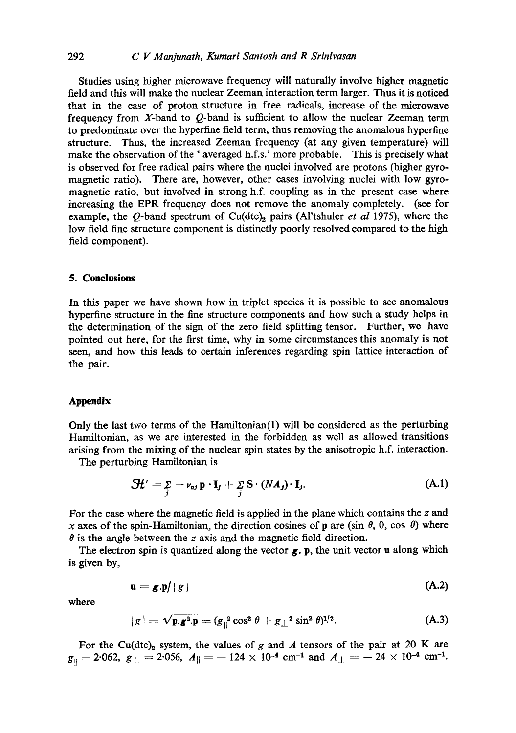# 292 *C V Manjunath, Kumari Santosh and R Srinivasan*

Studies using higher microwave frequency will naturally involve higher magnetic field and this will make the nuclear Zeeman interaction term larger. Thus it is noticed that in the case of proton structure in free radicals, increase of the microwave frequency from X-band to Q-band is sufficient to allow the nuclear Zeeman term to predominate over the hyperfine field term, thus removing the anomalous hyperfme structure. Thus, the increased Zeeman frequency (at any given temperature) will make the observation of the ' averaged h.f.s.' more probable. This is precisely what is observed for free radical pairs where the nuclei involved are protons (higher gyromagnetic ratio). There are, however, other cases involving nuclei with low gyromagnetic ratio, but involved in strong h.f. coupling as in the present case where increasing the EPR frequency does not remove the anomaly completely. (see for example, the  $Q$ -band spectrum of Cu(dtc)<sub>2</sub> pairs (Al'tshuler *et al* 1975), where the low field fine structure component is distinctly poorly resolved compared to the high field component).

### **5. Conclusions**

In this paper we have shown how in triplet species it is possible to see anomalous hyperfine structure in the fine structure components and how such a study helps in the determination of the sign of the zero field splitting tensor. Further, we have pointed out here, for the first time, why in some circumstances this anomaly is not seen, and how this leads to certain inferences regarding spin lattice interaction of the pair.

#### **Appendix**

Only the last two terms of the Hamiltonian(1) will be considered as the perturbing Hamiltonian, as we are interested in the forbidden as well as allowed transitions arising from the mixing of the nuclear spin states by the anisotropic h.f. interaction.

The perturbing Hamiltonian is

$$
\mathcal{H}' = \sum_{j} -\nu_{nj} \, \mathbf{p} \cdot \mathbf{I}_{j} + \sum_{j} \mathbf{S} \cdot (N \mathbf{A}_{j}) \cdot \mathbf{I}_{j}. \tag{A.1}
$$

For the case where the magnetic field is applied in the plane which contains the z and x axes of the spin-Hamiltonian, the direction cosines of p are (sin  $\theta$ , 0, cos  $\theta$ ) where  $\theta$  is the angle between the z axis and the magnetic field direction.

The electron spin is quantized along the vector  $g$ . p, the unit vector **u** along which is given by,

$$
\mathbf{u} = \mathbf{g}.\mathbf{p}/|g| \tag{A.2}
$$

where

$$
|g| = \sqrt{\mathbf{p} \cdot \mathbf{g}^2 \cdot \mathbf{p}} = (g_{\parallel}^2 \cos^2 \theta + g_{\perp}^2 \sin^2 \theta)^{1/2}.
$$
 (A.3)

For the Cu(dtc)<sub>2</sub> system, the values of g and A tensors of the pair at 20 K are  $g_{\parallel} = 2.062, g_{\parallel} = 2.056, A_{\parallel} = -124 \times 10^{-4} \text{ cm}^{-1} \text{ and } A_{\perp} = -24 \times 10^{-4} \text{ cm}^{-1}.$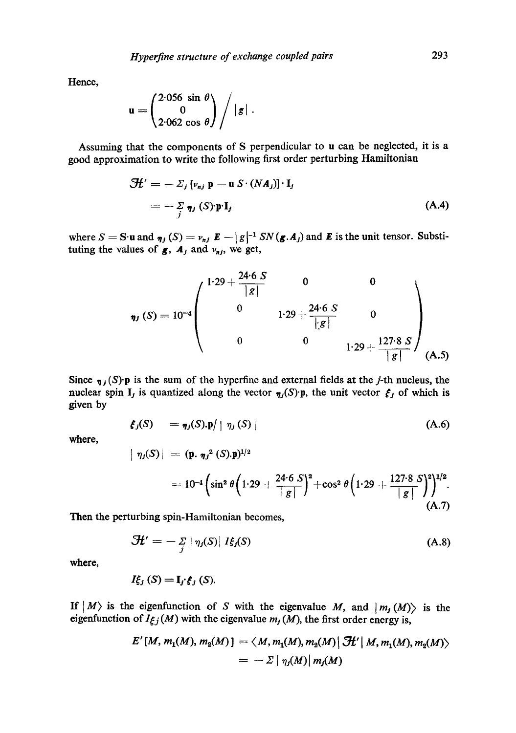**Hence,** 

$$
\mathbf{u} = \begin{pmatrix} 2.056 & \sin \theta \\ 0 \\ 2.062 & \cos \theta \end{pmatrix} / |g| \, .
$$

Assuming that the components of S perpendicular to u can be neglected, it is a good approximation to write the following first order perturbing Hamiltonian

$$
\mathcal{H}' = -\Sigma_j \left[ \nu_{nj} \mathbf{p} - \mathbf{u} \, S \cdot (N A_j) \right] \cdot \mathbf{I}_j
$$
\n
$$
= -\Sigma_j \eta_j \left( S \right) \mathbf{p} \cdot \mathbf{I}_j \tag{A.4}
$$

where  $S = S \cdot u$  and  $\eta_j(S) = \nu_{nj} E - |g|^{-1} SN(g \cdot A_j)$  and E is the unit tensor. Substituting the values of  $g$ ,  $A_j$  and  $v_{nj}$ , we get,

$$
\eta_J(S) = 10^{-4} \begin{pmatrix} 1.29 + \frac{24.6 \text{ } S}{|S|} & 0 & 0 \\ 0 & 1.29 + \frac{24.6 \text{ } S}{|S|} & 0 \\ 0 & 0 & 1.29 + \frac{127.8 \text{ } S}{|S|} \end{pmatrix} (A.5)
$$

Since  $\eta_j(S)$ .p is the sum of the hyperfine and external fields at the *j*-th nucleus, the nuclear spin I<sub>j</sub> is quantized along the vector  $\eta_j(S)$ 'p, the unit vector  $\xi_j$  of which is given by

$$
\xi_j(S) = \eta_j(S) \cdot \mathbf{p} / \mid \eta_j(S) \mid
$$
 (A.6)

where,

$$
\begin{array}{l} | \eta_j(S) | = (\mathbf{p}, \eta_j^2(S) . \mathbf{p})^{1/2} \\ = 10^{-4} \left( \sin^2 \theta \left( 1.29 + \frac{24.6 \ S}{|g|} \right)^2 + \cos^2 \theta \left( 1.29 + \frac{127.8 \ S}{|g|} \right)^2 \right)^{1/2}. \end{array}
$$
\n(A.7)

Then the perturbing spin-Hamiltonian becomes,

$$
\mathcal{H}' = -\frac{\sum_{j} |\eta_j(S)|}{I\xi_j(S)} \tag{A.8}
$$

**where,** 

$$
I_{\xi_j}^{\epsilon}(S) = \mathbf{I}_j \cdot \xi_j(S).
$$

If  $|M\rangle$  is the eigenfunction of S with the eigenvalue M, and  $|m_j(M)\rangle$  is the eigenfunction of  $I_{\xi j}(M)$  with the eigenvalue  $m_j(M)$ , the first order energy is,

$$
E'[M, m_1(M), m_2(M)] = \langle M, m_1(M), m_2(M) | \mathcal{H}' | M, m_1(M), m_2(M) \rangle
$$
  
=  $-\Sigma | \eta_1(M) | m_1(M)$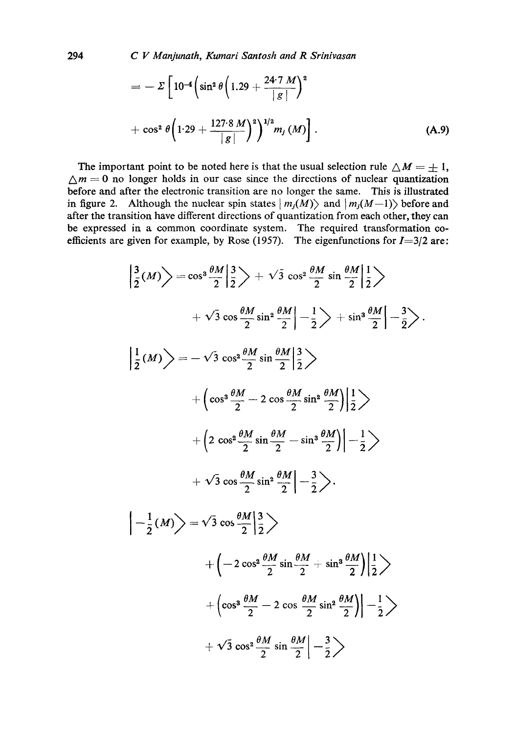294 *C V Manjunath, Kumari Santosh and R Srinivasan* 

$$
= - \Sigma \left[ 10^{-4} \left( \sin^2 \theta \left( 1.29 + \frac{24.7 M}{|g|} \right)^2 + \cos^2 \theta \left( 1.29 + \frac{127.8 M}{|g|} \right)^2 \right)^{1/2} m_j(M) \right].
$$
\n(A.9)

The important point to be noted here is that the usual selection rule  $\triangle M = \pm 1$ ,  $\Delta m = 0$  no longer holds in our case since the directions of nuclear quantization before and after the electronic transition are no longer the same. This is illustrated in figure 2. Although the nuclear spin states  $|m_j(M)\rangle$  and  $|m_j(M-1)\rangle$  before and after the transition have different directions of quantization from each other, they can be expressed ia a common coordinate system. The required transformation coefficients are given for example, by Rose (1957). The eigenfunctions for  $I=3/2$  are:

$$
\left|\frac{3}{2}(M)\right\rangle = \cos^3\frac{\theta M}{2}\left|\frac{3}{2}\right\rangle + \sqrt{3}\cos^2\frac{\theta M}{2}\sin\frac{\theta M}{2}\left|\frac{1}{2}\right\rangle
$$
  
+  $\sqrt{3}\cos\frac{\theta M}{2}\sin^2\frac{\theta M}{2}\left|\frac{1}{2}\right\rangle + \sin^3\frac{\theta M}{2}\left|\frac{1}{2}\right\rangle$   

$$
\left|\frac{1}{2}(M)\right\rangle = -\sqrt{3}\cos^3\frac{\theta M}{2}\sin\frac{\theta M}{2}\left|\frac{3}{2}\right\rangle
$$
  
+  $\left(\cos^3\frac{\theta M}{2} - 2\cos\frac{\theta M}{2}\sin^2\frac{\theta M}{2}\right)\left|\frac{1}{2}\right\rangle$   
+  $\left(2\cos^3\frac{\theta M}{2}\sin\frac{\theta M}{2} - \sin^3\frac{\theta M}{2}\right)\left|\frac{1}{2}\right\rangle$   
+  $\sqrt{3}\cos\frac{\theta M}{2}\sin^2\frac{\theta M}{2}\left|\frac{3}{2}\right\rangle$ .  

$$
\left|-\frac{1}{2}(M)\right\rangle = \sqrt{3}\cos\frac{\theta M}{2}\left|\frac{3}{2}\right\rangle
$$
  
+  $\left(-2\cos^3\frac{\theta M}{2}\sin\frac{\theta M}{2} + \sin^3\frac{\theta M}{2}\right)\left|\frac{1}{2}\right\rangle$   
+  $\left(\cos^3\frac{\theta M}{2} - 2\cos\frac{\theta M}{2}\sin^2\frac{\theta M}{2}\right)\left|\frac{1}{2}\right\rangle$   
+  $\sqrt{3}\cos^3\frac{\theta M}{2}\sin\frac{\theta M}{2}\left|\frac{3}{2}\right\rangle$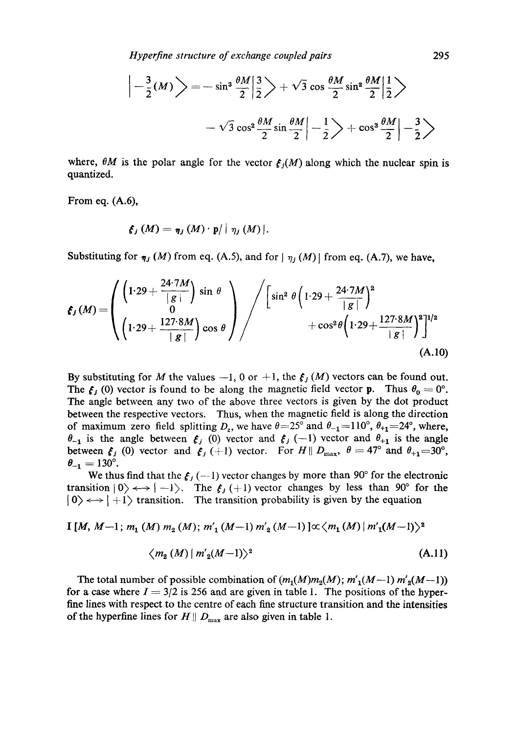*Hyperfine structure of exchange coupled pairs* 295

$$
\left|-\frac{3}{2}(M)\right>=-\sin^3\frac{\theta M}{2}\left|\frac{3}{2}\right>+\sqrt{3}\cos\frac{\theta M}{2}\sin^2\frac{\theta M}{2}\left|\frac{1}{2}\right>
$$

$$
-\sqrt{3}\cos^2\frac{\theta M}{2}\sin\frac{\theta M}{2}\left|-\frac{1}{2}\right>+\cos^3\frac{\theta M}{2}\left|-\frac{3}{2}\right>
$$

where,  $\theta M$  is the polar angle for the vector  $f<sub>i</sub>(M)$  along which the nuclear spin is quantized.

From eq. (A.6),

$$
\xi_j(M)=\eta_j(M)\cdot p/|\eta_j(M)|.
$$

Substituting for  $\eta_j(M)$  from eq. (A.5), and for  $|\eta_j(M)|$  from eq. (A.7), we have,

$$
\mathbf{f}_{J}(M) = \begin{pmatrix} \left(1.29 + \frac{24.7M}{|g|}\right) \sin \theta \\ 0 \\ \left(1.29 + \frac{127.8M}{|g|}\right) \cos \theta \end{pmatrix} / \begin{pmatrix} \sin^{2} \theta \left(1.29 + \frac{24.7M}{|g|}\right)^{2} \\ + \cos^{2} \theta \left(1.29 + \frac{127.8M}{|g|}\right)^{2} \right]^{1/2} \tag{A.10}
$$

By substituting for M the values  $-1$ , 0 or  $+1$ , the  $\mathfrak{c}_j(M)$  vectors can be found out. The  $f_j$  (0) vector is found to be along the magnetic field vector **p**. Thus  $\theta_0 = 0^\circ$ . The angle between any two of the above three vectors is given by the dot product between the respective vectors. Thus, when the magnetic field is along the direction of maximum zero field splitting  $D_z$ , we have  $\theta = 25^\circ$  and  $\theta_{-1} = 110^\circ$ ,  $\theta_{+1} = 24^\circ$ , where,  $\theta_{-1}$  is the angle between  $\mathfrak{e}_i$  (0) vector and  $\mathfrak{e}_i$  (-1) vector and  $\theta_{+1}$  is the angle between  $f_j$  (0) vector and  $f_j$  (+1) vector. For  $H \parallel D_{\text{max}}$ ,  $\theta = 47^\circ$  and  $\theta_{+1} = 30^\circ$ ,  $\theta_{-1} = 130^{\circ}$ .

We thus find that the  $\xi_i$  (--1) vector changes by more than 90° for the electronic transition  $|0\rangle \leftrightarrow |-1\rangle$ . The  $f_j (+1)$  vector changes by less than 90° for the  $| 0 \rangle \leftrightarrow | +1 \rangle$  transition. The transition probability is given by the equation

$$
\text{I}[M, M-1; m_1(M) m_2(M); m'_1(M-1) m'_2(M-1)] \propto \langle m_1(M) | m'_1(M-1) \rangle^2
$$

$$
\langle m_2(M) | m'_2(M-1) \rangle^2 \tag{A.11}
$$

The total number of possible combination of  $(m_1(M)m_2(M); m'_1(M-1) m'_2(M-1))$ for a case where  $I = 3/2$  is 256 and are given in table 1. The positions of the hyperfine lines with respect to the centre of each fine structure transition and the intensities of the hyperfine lines for  $H \parallel D_{\text{max}}$  are also given in table 1.